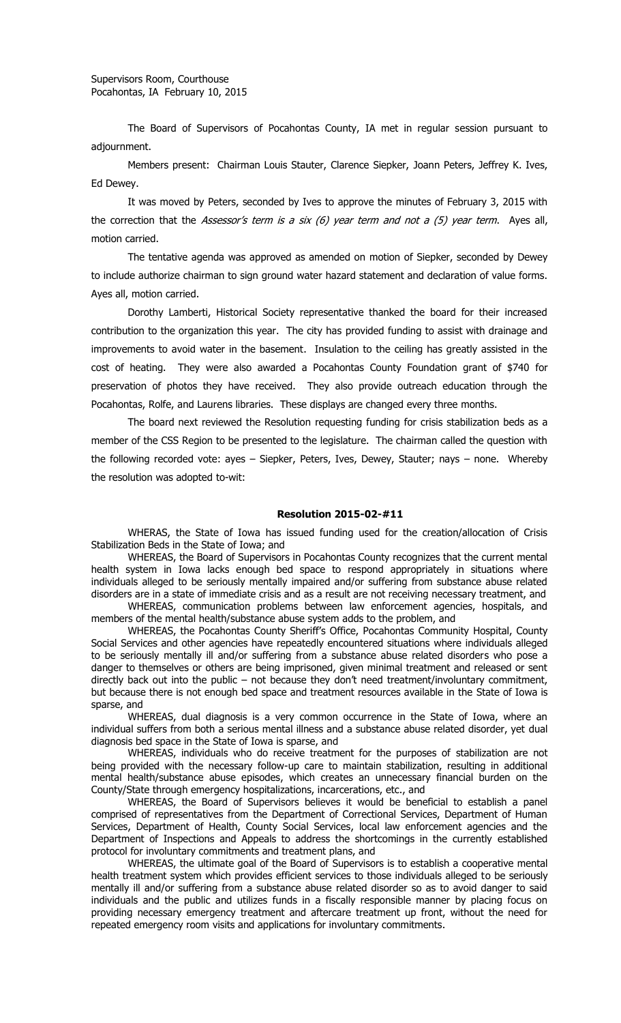The Board of Supervisors of Pocahontas County, IA met in regular session pursuant to adjournment.

Members present: Chairman Louis Stauter, Clarence Siepker, Joann Peters, Jeffrey K. Ives, Ed Dewey.

It was moved by Peters, seconded by Ives to approve the minutes of February 3, 2015 with the correction that the Assessor's term is a six  $(6)$  year term and not a  $(5)$  year term. Ayes all, motion carried.

The tentative agenda was approved as amended on motion of Siepker, seconded by Dewey to include authorize chairman to sign ground water hazard statement and declaration of value forms. Ayes all, motion carried.

Dorothy Lamberti, Historical Society representative thanked the board for their increased contribution to the organization this year. The city has provided funding to assist with drainage and improvements to avoid water in the basement. Insulation to the ceiling has greatly assisted in the cost of heating. They were also awarded a Pocahontas County Foundation grant of \$740 for preservation of photos they have received. They also provide outreach education through the Pocahontas, Rolfe, and Laurens libraries. These displays are changed every three months.

The board next reviewed the Resolution requesting funding for crisis stabilization beds as a member of the CSS Region to be presented to the legislature. The chairman called the question with the following recorded vote: ayes – Siepker, Peters, Ives, Dewey, Stauter; nays – none. Whereby the resolution was adopted to-wit:

## **Resolution 2015-02-#11**

WHERAS, the State of Iowa has issued funding used for the creation/allocation of Crisis Stabilization Beds in the State of Iowa; and

WHEREAS, the Board of Supervisors in Pocahontas County recognizes that the current mental health system in Iowa lacks enough bed space to respond appropriately in situations where individuals alleged to be seriously mentally impaired and/or suffering from substance abuse related disorders are in a state of immediate crisis and as a result are not receiving necessary treatment, and

WHEREAS, communication problems between law enforcement agencies, hospitals, and members of the mental health/substance abuse system adds to the problem, and

WHEREAS, the Pocahontas County Sheriff's Office, Pocahontas Community Hospital, County Social Services and other agencies have repeatedly encountered situations where individuals alleged to be seriously mentally ill and/or suffering from a substance abuse related disorders who pose a danger to themselves or others are being imprisoned, given minimal treatment and released or sent directly back out into the public – not because they don't need treatment/involuntary commitment, but because there is not enough bed space and treatment resources available in the State of Iowa is sparse, and

WHEREAS, dual diagnosis is a very common occurrence in the State of Iowa, where an individual suffers from both a serious mental illness and a substance abuse related disorder, yet dual diagnosis bed space in the State of Iowa is sparse, and

WHEREAS, individuals who do receive treatment for the purposes of stabilization are not being provided with the necessary follow-up care to maintain stabilization, resulting in additional mental health/substance abuse episodes, which creates an unnecessary financial burden on the County/State through emergency hospitalizations, incarcerations, etc., and

WHEREAS, the Board of Supervisors believes it would be beneficial to establish a panel comprised of representatives from the Department of Correctional Services, Department of Human Services, Department of Health, County Social Services, local law enforcement agencies and the Department of Inspections and Appeals to address the shortcomings in the currently established protocol for involuntary commitments and treatment plans, and

WHEREAS, the ultimate goal of the Board of Supervisors is to establish a cooperative mental health treatment system which provides efficient services to those individuals alleged to be seriously mentally ill and/or suffering from a substance abuse related disorder so as to avoid danger to said individuals and the public and utilizes funds in a fiscally responsible manner by placing focus on providing necessary emergency treatment and aftercare treatment up front, without the need for repeated emergency room visits and applications for involuntary commitments.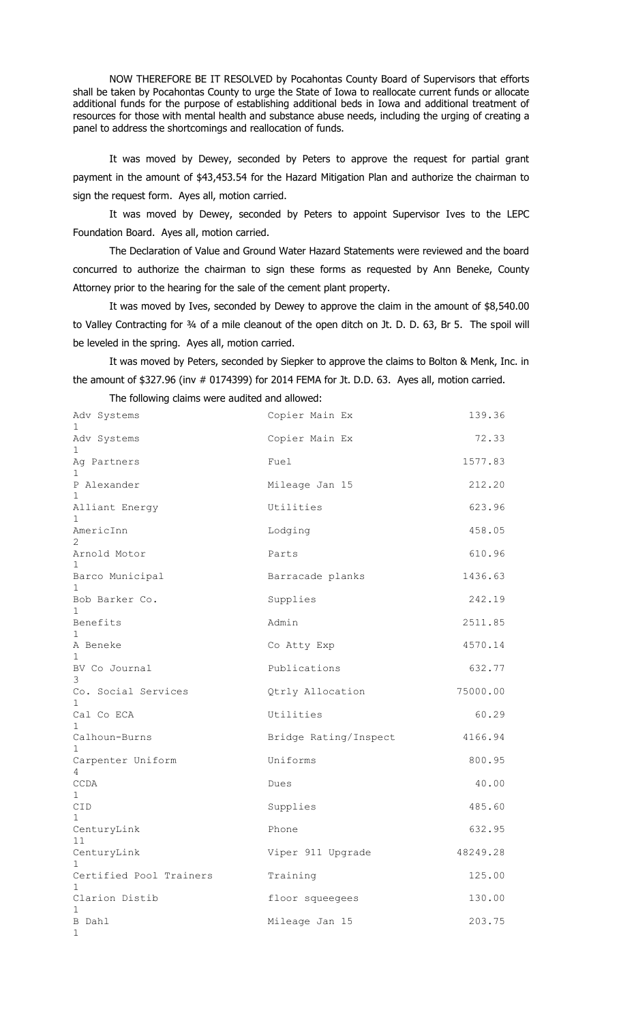NOW THEREFORE BE IT RESOLVED by Pocahontas County Board of Supervisors that efforts shall be taken by Pocahontas County to urge the State of Iowa to reallocate current funds or allocate additional funds for the purpose of establishing additional beds in Iowa and additional treatment of resources for those with mental health and substance abuse needs, including the urging of creating a panel to address the shortcomings and reallocation of funds.

It was moved by Dewey, seconded by Peters to approve the request for partial grant payment in the amount of \$43,453.54 for the Hazard Mitigation Plan and authorize the chairman to sign the request form. Ayes all, motion carried.

It was moved by Dewey, seconded by Peters to appoint Supervisor Ives to the LEPC Foundation Board. Ayes all, motion carried.

The Declaration of Value and Ground Water Hazard Statements were reviewed and the board concurred to authorize the chairman to sign these forms as requested by Ann Beneke, County Attorney prior to the hearing for the sale of the cement plant property.

It was moved by Ives, seconded by Dewey to approve the claim in the amount of \$8,540.00 to Valley Contracting for 34 of a mile cleanout of the open ditch on Jt. D. D. 63, Br 5. The spoil will be leveled in the spring. Ayes all, motion carried.

It was moved by Peters, seconded by Siepker to approve the claims to Bolton & Menk, Inc. in the amount of \$327.96 (inv # 0174399) for 2014 FEMA for Jt. D.D. 63. Ayes all, motion carried.

The following claims were audited and allowed:

| Adv Systems<br>1                        | Copier Main Ex        | 139.36   |
|-----------------------------------------|-----------------------|----------|
| Adv Systems<br>1.                       | Copier Main Ex        | 72.33    |
| Ag Partners<br>$\mathbf{1}$             | Fuel                  | 1577.83  |
| P Alexander<br>1                        | Mileage Jan 15        | 212.20   |
| Alliant Energy<br>1.                    | Utilities             | 623.96   |
| AmericInn<br>2                          | Lodging               | 458.05   |
| Arnold Motor<br>1                       | Parts                 | 610.96   |
| Barco Municipal<br>1.                   | Barracade planks      | 1436.63  |
| Bob Barker Co.<br>1.                    | Supplies              | 242.19   |
| Benefits<br>1                           | Admin                 | 2511.85  |
| A Beneke<br>1                           | Co Atty Exp           | 4570.14  |
| BV Co Journal<br>3                      | Publications          | 632.77   |
| Co. Social Services<br>1                | Qtrly Allocation      | 75000.00 |
| Cal Co ECA<br>1                         | Utilities             | 60.29    |
| Calhoun-Burns<br>1                      | Bridge Rating/Inspect | 4166.94  |
| Carpenter Uniform<br>4                  | Uniforms              | 800.95   |
| CCDA<br>$\mathbf{1}$                    | Dues                  | 40.00    |
| CID<br>1                                | Supplies              | 485.60   |
| CenturyLink<br>11                       | Phone                 | 632.95   |
| CenturyLink                             | Viper 911 Upgrade     | 48249.28 |
| Certified Pool Trainers<br>$\mathbf{1}$ | Training              | 125.00   |
| Clarion Distib<br>1                     | floor squeeqees       | 130.00   |
| B Dahl<br>1                             | Mileage Jan 15        | 203.75   |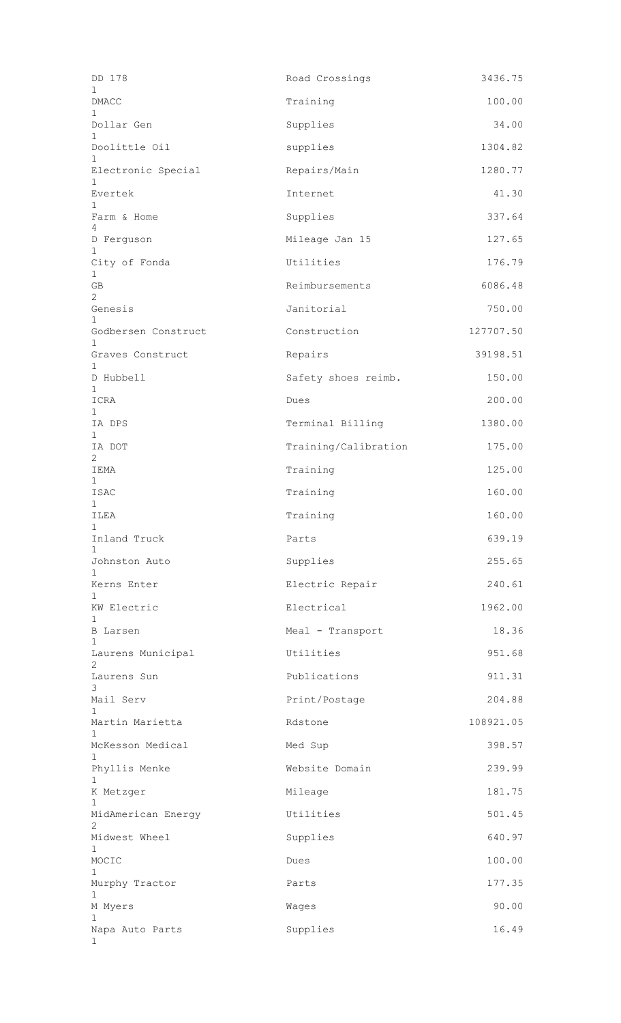| DD 178                             | Road Crossings       | 3436.75   |
|------------------------------------|----------------------|-----------|
| 1<br>DMACC                         | Training             | 100.00    |
| 1<br>Dollar Gen                    | Supplies             | 34.00     |
| $\mathbf{1}$<br>Doolittle Oil      | supplies             | 1304.82   |
| $\mathbf{1}$<br>Electronic Special | Repairs/Main         | 1280.77   |
| $\mathbf{1}$<br>Evertek            | Internet             | 41.30     |
| 1<br>Farm & Home                   | Supplies             | 337.64    |
| 4<br>D Ferguson                    | Mileage Jan 15       | 127.65    |
| 1<br>City of Fonda                 | Utilities            | 176.79    |
| $\mathbf{1}$<br>GB                 | Reimbursements       | 6086.48   |
| 2<br>Genesis                       | Janitorial           | 750.00    |
| 1<br>Godbersen Construct           | Construction         | 127707.50 |
| $\mathbf 1$<br>Graves Construct    | Repairs              | 39198.51  |
| $\mathbf 1$<br>D Hubbell           | Safety shoes reimb.  | 150.00    |
| $\mathbf{1}$<br>ICRA               | Dues                 | 200.00    |
| 1<br>IA DPS                        | Terminal Billing     | 1380.00   |
| $\mathbf{1}$<br>IA DOT             | Training/Calibration | 175.00    |
| $\mathbf{2}$<br>IEMA               | Training             | 125.00    |
| $\mathbf{1}$<br>ISAC               | Training             | 160.00    |
| $\mathbf{1}$<br>ILEA               | Training             | 160.00    |
| $\mathbf{1}$<br>Inland Truck       | Parts                | 639.19    |
| $\mathbf{1}$<br>Johnston Auto      | Supplies             | 255.65    |
| $\mathbf{1}$<br>Kerns Enter        | Electric Repair      | 240.61    |
| 1<br>KW Electric                   | Electrical           | 1962.00   |
| 1<br><b>B</b> Larsen               | Meal - Transport     | 18.36     |
| 1<br>Laurens Municipal             | Utilities            | 951.68    |
| $\overline{2}$<br>Laurens Sun      | Publications         | 911.31    |
| 3<br>Mail Serv                     | Print/Postage        | 204.88    |
| 1<br>Martin Marietta               | Rdstone              | 108921.05 |
| $\mathbf 1$<br>McKesson Medical    | Med Sup              | 398.57    |
| $\mathbf{1}$<br>Phyllis Menke      | Website Domain       | 239.99    |
| $\mathbf 1$<br>K Metzger           | Mileage              | 181.75    |
| 1<br>MidAmerican Energy            | Utilities            | 501.45    |
| 2<br>Midwest Wheel                 | Supplies             | 640.97    |
| 1<br>MOCIC                         | Dues                 | 100.00    |
| 1<br>Murphy Tractor                | Parts                | 177.35    |
| 1<br>M Myers                       | Waqes                | 90.00     |
| 1<br>Napa Auto Parts               | Supplies             | 16.49     |
|                                    |                      |           |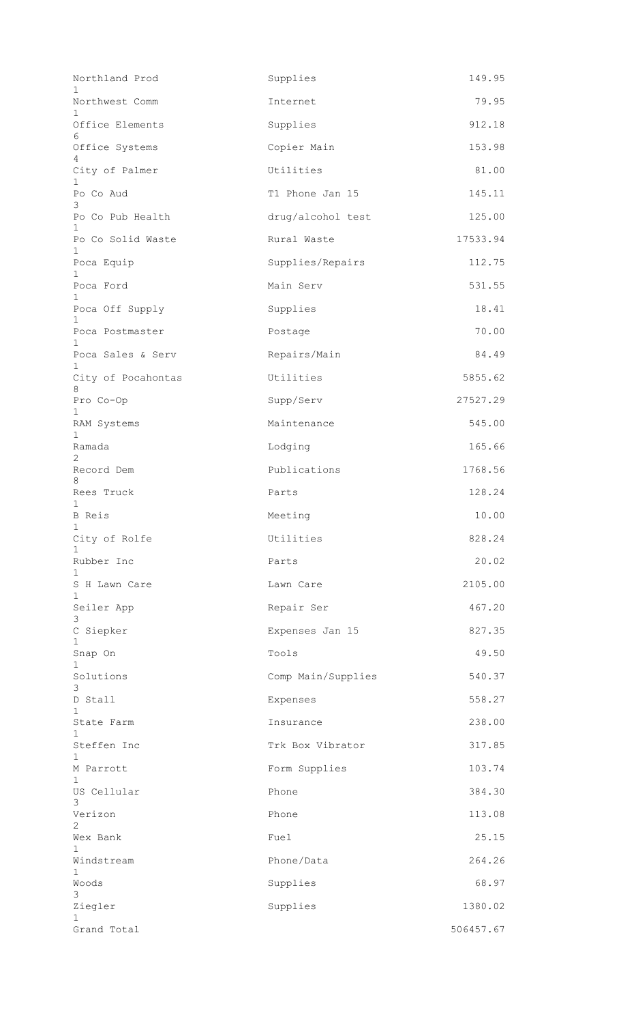| Northland Prod                | Supplies           | 149.95    |
|-------------------------------|--------------------|-----------|
| Northwest Comm<br>1           | Internet           | 79.95     |
| Office Elements<br>6          | Supplies           | 912.18    |
| Office Systems                | Copier Main        | 153.98    |
| City of Palmer                | Utilities          | 81.00     |
| 1<br>Po Co Aud<br>3           | T1 Phone Jan 15    | 145.11    |
| Po Co Pub Health              | drug/alcohol test  | 125.00    |
| 1.<br>Po Co Solid Waste<br>1. | Rural Waste        | 17533.94  |
| Poca Equip                    | Supplies/Repairs   | 112.75    |
| Poca Ford                     | Main Serv          | 531.55    |
| Poca Off Supply               | Supplies           | 18.41     |
| Poca Postmaster<br>1          | Postage            | 70.00     |
| Poca Sales & Serv<br>1.       | Repairs/Main       | 84.49     |
| City of Pocahontas<br>8       | Utilities          | 5855.62   |
| Pro Co-Op                     | Supp/Serv          | 27527.29  |
| 1<br>RAM Systems              | Maintenance        | 545.00    |
| $\mathbf{1}$<br>Ramada        | Lodging            | 165.66    |
| 2<br>Record Dem               | Publications       | 1768.56   |
| 8<br>Rees Truck               | Parts              | 128.24    |
| <b>B</b> Reis                 | Meeting            | 10.00     |
| $1 \quad$<br>City of Rolfe    | Utilities          | 828.24    |
| Rubber Inc                    | Parts              | 20.02     |
| 1.<br>S H Lawn Care           | Lawn Care          | 2105.00   |
| 1<br>Seiler App<br>3          | Repair Ser         | 467.20    |
| C Siepker<br>1                | Expenses Jan 15    | 827.35    |
| Snap On<br>$\mathbf{1}$       | Tools              | 49.50     |
| Solutions<br>3                | Comp Main/Supplies | 540.37    |
| D Stall<br>$\mathbf{1}$       | Expenses           | 558.27    |
| State Farm                    | Insurance          | 238.00    |
| $\mathbf{1}$<br>Steffen Inc   | Trk Box Vibrator   | 317.85    |
| M Parrott                     | Form Supplies      | 103.74    |
| 1<br>US Cellular              | Phone              | 384.30    |
| 3<br>Verizon                  | Phone              | 113.08    |
| 2<br>Wex Bank                 | Fuel               | 25.15     |
| 1<br>Windstream               | Phone/Data         | 264.26    |
| $\mathbf{1}$<br>Woods         | Supplies           | 68.97     |
| 3<br>Ziegler                  | Supplies           | 1380.02   |
| $\mathbf{1}$<br>Grand Total   |                    | 506457.67 |